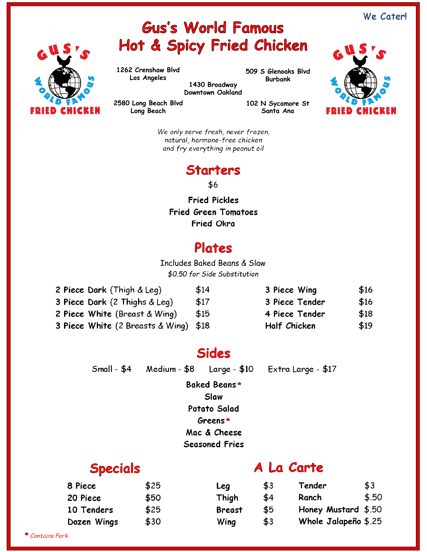# **Gus's World Famous** Hot & Spicy Fried Chicken

**1262 Crenshaw Blvd Los Angeles**

**Long Beach**

**509 S Glenoaks Blvd Burbank**

**1430 Broadway Downtown Oakland**

**2580 Long Beach Blvd**

**102 N Sycamore St Santa Ana**



*We only serve fresh, never frozen, natural, hormone-free chicken and fry everything in peanut oil*

### **Starters**

\$6

**Fried Pickles Fried Green Tomatoes Fried Okra**

### **Plates**

Includes Baked Beans & Slaw *\$0.50 for Side Substitution*

| 2 Piece Dark (Thigh & Leg)            | \$14 | 3 Piece Wing   | \$16 |
|---------------------------------------|------|----------------|------|
| 3 Piece Dark (2 Thighs & Leg)         | \$17 | 3 Piece Tender | \$16 |
| 2 Piece White (Breast & Wing)         | \$15 | 4 Piece Tender | \$18 |
| 3 Piece White (2 Breasts & Wing) \$18 |      | Half Chicken   | \$19 |

## **Sides**

Small - \$4 Medium - \$8 Large - \$10 Extra Large - \$17

**Baked Beans Slaw**

**Potato Salad**

**Greens**

**Mac & Cheese**

**Seasoned Fries**

### **Specials**

### A La Carte

| 8 Piece     | \$25 | Leg           | \$3 | Tender               | \$3   |
|-------------|------|---------------|-----|----------------------|-------|
| 20 Piece    | \$50 | Thigh         | \$4 | Ranch                | \$.50 |
| 10 Tenders  | \$25 | <b>Breast</b> | \$5 | Honey Mustard \$.50  |       |
| Dozen Wings | \$30 | Wing          | \$3 | Whole Jalapeño \$.25 |       |